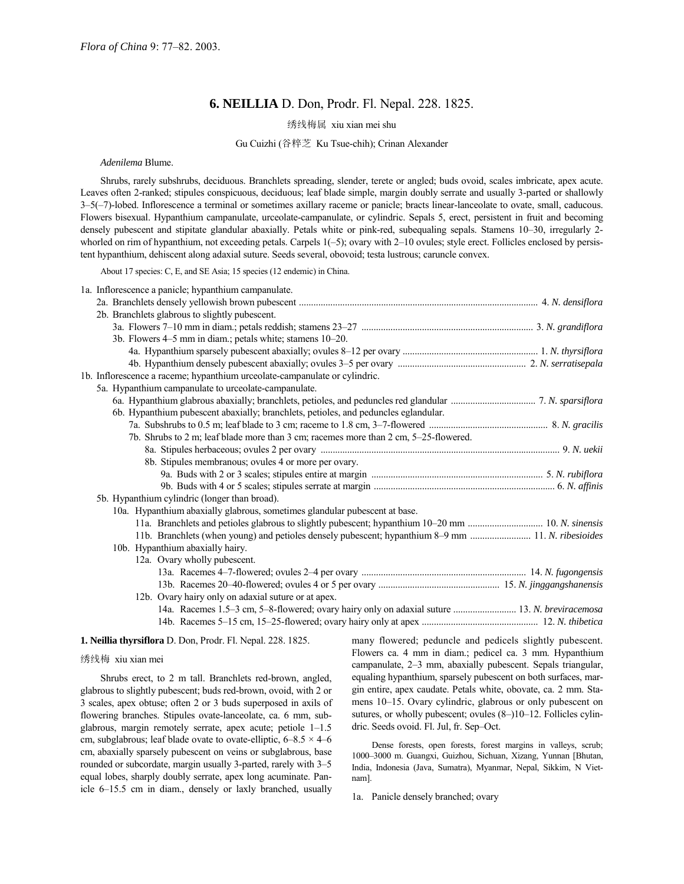# **6. NEILLIA** D. Don, Prodr. Fl. Nepal. 228. 1825.

绣线梅属 xiu xian mei shu

### Gu Cuizhi (谷粹芝 Ku Tsue-chih); Crinan Alexander

#### *Adenilema* Blume.

Shrubs, rarely subshrubs, deciduous. Branchlets spreading, slender, terete or angled; buds ovoid, scales imbricate, apex acute. Leaves often 2-ranked; stipules conspicuous, deciduous; leaf blade simple, margin doubly serrate and usually 3-parted or shallowly 3–5(-7)-lobed. Inflorescence a terminal or sometimes axillary raceme or panicle; bracts linear-lanceolate to ovate, small, caducous. Flowers bisexual. Hypanthium campanulate, urceolate-campanulate, or cylindric. Sepals 5, erect, persistent in fruit and becoming densely pubescent and stipitate glandular abaxially. Petals white or pink-red, subequaling sepals. Stamens 10–30, irregularly 2whorled on rim of hypanthium, not exceeding petals. Carpels  $1(-5)$ ; ovary with  $2-10$  ovules; style erect. Follicles enclosed by persistent hypanthium, dehiscent along adaxial suture. Seeds several, obovoid; testa lustrous; caruncle convex.

About 17 species: C, E, and SE Asia; 15 species (12 endemic) in China.

| 1a. Inflorescence a panicle; hypanthium campanulate.                                                            |  |
|-----------------------------------------------------------------------------------------------------------------|--|
|                                                                                                                 |  |
| 2b. Branchlets glabrous to slightly pubescent.                                                                  |  |
|                                                                                                                 |  |
| 3b. Flowers 4–5 mm in diam.; petals white; stamens 10–20.                                                       |  |
|                                                                                                                 |  |
|                                                                                                                 |  |
| 1b. Inflorescence a raceme; hypanthium urceolate-campanulate or cylindric.                                      |  |
| 5a. Hypanthium campanulate to urceolate-campanulate.                                                            |  |
|                                                                                                                 |  |
| 6b. Hypanthium pubescent abaxially; branchlets, petioles, and peduncles eglandular.                             |  |
|                                                                                                                 |  |
| 7b. Shrubs to 2 m; leaf blade more than 3 cm; racemes more than 2 cm, 5-25-flowered.                            |  |
|                                                                                                                 |  |
| 8b. Stipules membranous; ovules 4 or more per ovary.                                                            |  |
|                                                                                                                 |  |
|                                                                                                                 |  |
| 5b. Hypanthium cylindric (longer than broad).                                                                   |  |
| 10a. Hypanthium abaxially glabrous, sometimes glandular pubescent at base.                                      |  |
|                                                                                                                 |  |
| 11. Branchlets (when young) and petioles densely pubescent; hypanthium 8-9 mm  11. N. ribesioides               |  |
| 10b. Hypanthium abaxially hairy.                                                                                |  |
| 12a. Ovary wholly pubescent.                                                                                    |  |
|                                                                                                                 |  |
|                                                                                                                 |  |
| 12b. Ovary hairy only on adaxial suture or at apex.                                                             |  |
| 14a. Racemes 1.5–3 cm, 5–8-flowered; ovary hairy only on adaxial suture  13. N. breviracemosa                   |  |
|                                                                                                                 |  |
| - 2010 - Carl Corporation Advised Management Advised Management Advised Management Advised Management Advised M |  |

### **1. Neillia thyrsiflora** D. Don, Prodr. Fl. Nepal. 228. 1825.

### 绣线梅 xiu xian mei

Shrubs erect, to 2 m tall. Branchlets red-brown, angled, glabrous to slightly pubescent; buds red-brown, ovoid, with 2 or 3 scales, apex obtuse; often 2 or 3 buds superposed in axils of flowering branches. Stipules ovate-lanceolate, ca. 6 mm, subglabrous, margin remotely serrate, apex acute; petiole  $1-1.5$ cm, subglabrous; leaf blade ovate to ovate-elliptic,  $6-8.5 \times 4-6$ cm, abaxially sparsely pubescent on veins or subglabrous, base rounded or subcordate, margin usually 3-parted, rarely with 3-5 equal lobes, sharply doubly serrate, apex long acuminate. Panicle 6-15.5 cm in diam., densely or laxly branched, usually

many flowered; peduncle and pedicels slightly pubescent. Flowers ca. 4 mm in diam.; pedicel ca. 3 mm. Hypanthium campanulate, 2-3 mm, abaxially pubescent. Sepals triangular, equaling hypanthium, sparsely pubescent on both surfaces, margin entire, apex caudate. Petals white, obovate, ca. 2 mm. Stamens 10–15. Ovary cylindric, glabrous or only pubescent on sutures, or wholly pubescent; ovules  $(8–)10–12$ . Follicles cylindric. Seeds ovoid. Fl. Jul, fr. Sep-Oct.

Dense forests, open forests, forest margins in valleys, scrub; 1000-3000 m. Guangxi, Guizhou, Sichuan, Xizang, Yunnan [Bhutan, India, Indonesia (Java, Sumatra), Myanmar, Nepal, Sikkim, N Vietnam].

1a. Panicle densely branched; ovary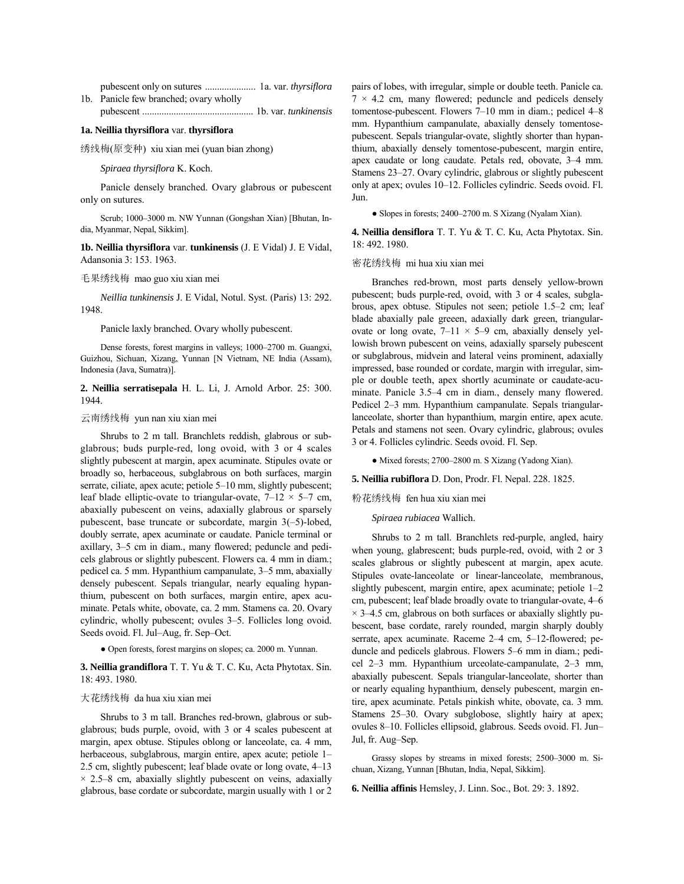pubescent only on sutures ..................... 1a. var. *thyrsiflora* 1b. Panicle few branched; ovary wholly

pubescent .............................................. 1b. var. *tunkinensis*

# **1a. Neillia thyrsiflora** var. **thyrsiflora**

绣线梅(原变种) xiu xian mei (yuan bian zhong)

### *Spiraea thyrsiflora* K. Koch.

Panicle densely branched. Ovary glabrous or pubescent only on sutures.

Scrub; 1000-3000 m. NW Yunnan (Gongshan Xian) [Bhutan, India, Myanmar, Nepal, Sikkim].

**1b. Neillia thyrsiflora** var. **tunkinensis** (J. E Vidal) J. E Vidal, Adansonia 3: 153. 1963.

#### 毛果绣线梅 mao guo xiu xian mei

*Neillia tunkinensis* J. E Vidal, Notul. Syst. (Paris) 13: 292. 1948.

Panicle laxly branched. Ovary wholly pubescent.

Dense forests, forest margins in valleys; 1000-2700 m. Guangxi, Guizhou, Sichuan, Xizang, Yunnan [N Vietnam, NE India (Assam), Indonesia (Java, Sumatra)].

**2. Neillia serratisepala** H. L. Li, J. Arnold Arbor. 25: 300. 1944.

# 云南绣线梅 yun nan xiu xian mei

Shrubs to 2 m tall. Branchlets reddish, glabrous or subglabrous; buds purple-red, long ovoid, with 3 or 4 scales slightly pubescent at margin, apex acuminate. Stipules ovate or broadly so, herbaceous, subglabrous on both surfaces, margin serrate, ciliate, apex acute; petiole 5-10 mm, slightly pubescent; leaf blade elliptic-ovate to triangular-ovate,  $7-12 \times 5-7$  cm, abaxially pubescent on veins, adaxially glabrous or sparsely pubescent, base truncate or subcordate, margin  $3(-5)$ -lobed, doubly serrate, apex acuminate or caudate. Panicle terminal or axillary, 3-5 cm in diam., many flowered; peduncle and pedicels glabrous or slightly pubescent. Flowers ca. 4 mm in diam.; pedicel ca. 5 mm. Hypanthium campanulate, 3–5 mm, abaxially densely pubescent. Sepals triangular, nearly equaling hypanthium, pubescent on both surfaces, margin entire, apex acuminate. Petals white, obovate, ca. 2 mm. Stamens ca. 20. Ovary cylindric, wholly pubescent; ovules 3-5. Follicles long ovoid. Seeds ovoid. Fl. Jul-Aug, fr. Sep-Oct.

● Open forests, forest margins on slopes; ca. 2000 m. Yunnan.

**3. Neillia grandiflora** T. T. Yu & T. C. Ku, Acta Phytotax. Sin. 18: 493. 1980.

### 大花绣线梅 da hua xiu xian mei

Shrubs to 3 m tall. Branches red-brown, glabrous or subglabrous; buds purple, ovoid, with 3 or 4 scales pubescent at margin, apex obtuse. Stipules oblong or lanceolate, ca. 4 mm, herbaceous, subglabrous, margin entire, apex acute; petiole 1– 2.5 cm, slightly pubescent; leaf blade ovate or long ovate,  $4-13$  $\times$  2.5–8 cm, abaxially slightly pubescent on veins, adaxially glabrous, base cordate or subcordate, margin usually with 1 or 2 pairs of lobes, with irregular, simple or double teeth. Panicle ca.  $7 \times 4.2$  cm, many flowered; peduncle and pedicels densely tomentose-pubescent. Flowers  $7-10$  mm in diam.; pedicel  $4-8$ mm. Hypanthium campanulate, abaxially densely tomentosepubescent. Sepals triangular-ovate, slightly shorter than hypanthium, abaxially densely tomentose-pubescent, margin entire, apex caudate or long caudate. Petals red, obovate, 3-4 mm. Stamens 23-27. Ovary cylindric, glabrous or slightly pubescent only at apex; ovules 10-12. Follicles cylindric. Seeds ovoid. Fl. Jun.

• Slopes in forests; 2400-2700 m. S Xizang (Nyalam Xian).

**4. Neillia densiflora** T. T. Yu & T. C. Ku, Acta Phytotax. Sin. 18: 492. 1980.

### 密花绣线梅 mi hua xiu xian mei

Branches red-brown, most parts densely yellow-brown pubescent; buds purple-red, ovoid, with 3 or 4 scales, subglabrous, apex obtuse. Stipules not seen; petiole 1.5-2 cm; leaf blade abaxially pale greeen, adaxially dark green, triangularovate or long ovate,  $7-11 \times 5-9$  cm, abaxially densely yellowish brown pubescent on veins, adaxially sparsely pubescent or subglabrous, midvein and lateral veins prominent, adaxially impressed, base rounded or cordate, margin with irregular, simple or double teeth, apex shortly acuminate or caudate-acuminate. Panicle 3.5-4 cm in diam., densely many flowered. Pedicel 2-3 mm. Hypanthium campanulate. Sepals triangularlanceolate, shorter than hypanthium, margin entire, apex acute. Petals and stamens not seen. Ovary cylindric, glabrous; ovules 3 or 4. Follicles cylindric. Seeds ovoid. Fl. Sep.

• Mixed forests; 2700–2800 m. S Xizang (Yadong Xian).

#### **5. Neillia rubiflora** D. Don, Prodr. Fl. Nepal. 228. 1825.

粉花绣线梅 fen hua xiu xian mei

*Spiraea rubiacea* Wallich.

Shrubs to 2 m tall. Branchlets red-purple, angled, hairy when young, glabrescent; buds purple-red, ovoid, with 2 or 3 scales glabrous or slightly pubescent at margin, apex acute. Stipules ovate-lanceolate or linear-lanceolate, membranous, slightly pubescent, margin entire, apex acuminate; petiole  $1-2$ cm, pubescent; leaf blade broadly ovate to triangular-ovate, 4–6  $\times$  3–4.5 cm, glabrous on both surfaces or abaxially slightly pubescent, base cordate, rarely rounded, margin sharply doubly serrate, apex acuminate. Raceme 2-4 cm, 5-12-flowered; peduncle and pedicels glabrous. Flowers 5–6 mm in diam.; pedicel 2-3 mm. Hypanthium urceolate-campanulate, 2-3 mm, abaxially pubescent. Sepals triangular-lanceolate, shorter than or nearly equaling hypanthium, densely pubescent, margin entire, apex acuminate. Petals pinkish white, obovate, ca. 3 mm. Stamens 25–30. Ovary subglobose, slightly hairy at apex; ovules 8–10. Follicles ellipsoid, glabrous. Seeds ovoid. Fl. Jun-Jul, fr. Aug-Sep.

Grassy slopes by streams in mixed forests: 2500–3000 m. Sichuan, Xizang, Yunnan [Bhutan, India, Nepal, Sikkim].

**6. Neillia affinis** Hemsley, J. Linn. Soc., Bot. 29: 3. 1892.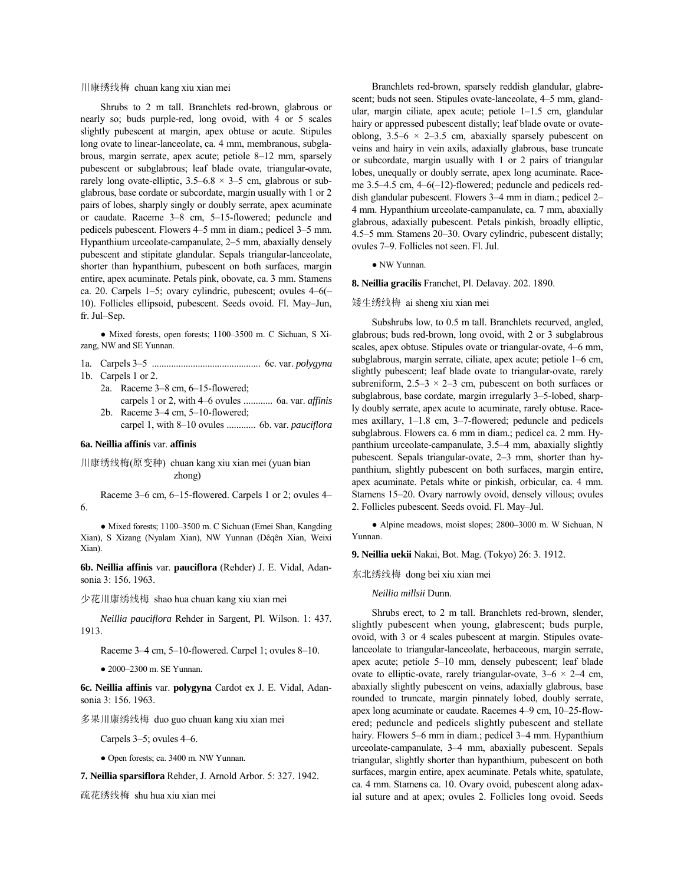川康绣线梅 chuan kang xiu xian mei

Shrubs to 2 m tall. Branchlets red-brown, glabrous or nearly so; buds purple-red, long ovoid, with 4 or 5 scales slightly pubescent at margin, apex obtuse or acute. Stipules long ovate to linear-lanceolate, ca. 4 mm, membranous, subglabrous, margin serrate, apex acute; petiole  $8-12$  mm, sparsely pubescent or subglabrous; leaf blade ovate, triangular-ovate, rarely long ovate-elliptic,  $3.5-6.8 \times 3-5$  cm, glabrous or subglabrous, base cordate or subcordate, margin usually with 1 or 2 pairs of lobes, sharply singly or doubly serrate, apex acuminate or caudate. Raceme 3-8 cm, 5-15-flowered; peduncle and pedicels pubescent. Flowers 4–5 mm in diam.; pedicel 3–5 mm. Hypanthium urceolate-campanulate,  $2-5$  mm, abaxially densely pubescent and stipitate glandular. Sepals triangular-lanceolate, shorter than hypanthium, pubescent on both surfaces, margin entire, apex acuminate. Petals pink, obovate, ca. 3 mm. Stamens ca. 20. Carpels 1–5; ovary cylindric, pubescent; ovules  $4-6($ 10). Follicles ellipsoid, pubescent. Seeds ovoid. Fl. May-Jun,  $fr.$  Jul–Sep.

• Mixed forests, open forests; 1100–3500 m. C Sichuan, S Xizang, NW and SE Yunnan.

1a. Carpels 3ñ5 ............................................. 6c. var. *polygyna*

1b. Carpels 1 or 2.

2a. Raceme 3-8 cm, 6-15-flowered; carpels 1 or 2, with 4–6 ovules ............ 6a. var. *affinis* 

2b. Raceme  $3-4$  cm,  $5-10$ -flowered; carpel 1, with 8-10 ovules ............ 6b. var. *pauciflora* 

#### **6a. Neillia affinis** var. **affinis**

川康绣线梅(原变种) chuan kang xiu xian mei (yuan bian zhong)

Raceme  $3-6$  cm,  $6-15$ -flowered. Carpels 1 or 2; ovules  $4-$ 6.

• Mixed forests; 1100–3500 m. C Sichuan (Emei Shan, Kangding Xian), S Xizang (Nyalam Xian), NW Yunnan (Dêqên Xian, Weixi Xian).

**6b. Neillia affinis** var. **pauciflora** (Rehder) J. E. Vidal, Adansonia 3: 156. 1963.

少花川康绣线梅 shao hua chuan kang xiu xian mei

*Neillia pauciflora* Rehder in Sargent, Pl. Wilson. 1: 437. 1913.

Raceme 3–4 cm, 5–10-flowered. Carpel 1; ovules 8–10.

 $\bullet$  2000-2300 m. SE Yunnan.

**6c. Neillia affinis** var. **polygyna** Cardot ex J. E. Vidal, Adansonia 3: 156. 1963.

多果川康绣线梅 duo guo chuan kang xiu xian mei

Carpels  $3-5$ ; ovules  $4-6$ .

● Open forests; ca. 3400 m. NW Yunnan.

**7. Neillia sparsiflora** Rehder, J. Arnold Arbor. 5: 327. 1942.

疏花绣线梅 shu hua xiu xian mei

Branchlets red-brown, sparsely reddish glandular, glabrescent; buds not seen. Stipules ovate-lanceolate, 4-5 mm, glandular, margin ciliate, apex acute; petiole  $1-1.5$  cm, glandular hairy or appressed pubescent distally; leaf blade ovate or ovateoblong,  $3.5-6 \times 2-3.5$  cm, abaxially sparsely pubescent on veins and hairy in vein axils, adaxially glabrous, base truncate or subcordate, margin usually with 1 or 2 pairs of triangular lobes, unequally or doubly serrate, apex long acuminate. Raceme  $3.5-4.5$  cm,  $4-6(-12)$ -flowered; peduncle and pedicels reddish glandular pubescent. Flowers  $3-4$  mm in diam.; pedicel  $2-$ 4 mm. Hypanthium urceolate-campanulate, ca. 7 mm, abaxially glabrous, adaxially pubescent. Petals pinkish, broadly elliptic, 4.5-5 mm. Stamens 20-30. Ovary cylindric, pubescent distally; ovules 7–9. Follicles not seen. Fl. Jul.

● NW Yunnan.

**8. Neillia gracilis** Franchet, Pl. Delavay. 202. 1890.

矮生绣线梅 ai sheng xiu xian mei

Subshrubs low, to 0.5 m tall. Branchlets recurved, angled, glabrous; buds red-brown, long ovoid, with 2 or 3 subglabrous scales, apex obtuse. Stipules ovate or triangular-ovate, 4-6 mm, subglabrous, margin serrate, ciliate, apex acute; petiole  $1-6$  cm, slightly pubescent; leaf blade ovate to triangular-ovate, rarely subreniform,  $2.5-3 \times 2-3$  cm, pubescent on both surfaces or subglabrous, base cordate, margin irregularly 3–5-lobed, sharply doubly serrate, apex acute to acuminate, rarely obtuse. Racemes axillary,  $1-1.8$  cm,  $3-7$ -flowered; peduncle and pedicels subglabrous. Flowers ca. 6 mm in diam.; pedicel ca. 2 mm. Hypanthium urceolate-campanulate,  $3.5-4$  mm, abaxially slightly pubescent. Sepals triangular-ovate, 2–3 mm, shorter than hypanthium, slightly pubescent on both surfaces, margin entire, apex acuminate. Petals white or pinkish, orbicular, ca. 4 mm. Stamens 15-20. Ovary narrowly ovoid, densely villous; ovules 2. Follicles pubescent. Seeds ovoid. Fl. May-Jul.

• Alpine meadows, moist slopes; 2800-3000 m. W Sichuan, N Yunnan.

**9. Neillia uekii** Nakai, Bot. Mag. (Tokyo) 26: 3. 1912.

东北绣线梅 dong bei xiu xian mei

*Neillia millsii* Dunn.

Shrubs erect, to 2 m tall. Branchlets red-brown, slender, slightly pubescent when young, glabrescent; buds purple, ovoid, with 3 or 4 scales pubescent at margin. Stipules ovatelanceolate to triangular-lanceolate, herbaceous, margin serrate, apex acute; petiole 5-10 mm, densely pubescent; leaf blade ovate to elliptic-ovate, rarely triangular-ovate,  $3-6 \times 2-4$  cm, abaxially slightly pubescent on veins, adaxially glabrous, base rounded to truncate, margin pinnately lobed, doubly serrate, apex long acuminate or caudate. Racemes 4–9 cm, 10–25-flowered; peduncle and pedicels slightly pubescent and stellate hairy. Flowers 5–6 mm in diam.; pedicel 3–4 mm. Hypanthium urceolate-campanulate, 3-4 mm, abaxially pubescent. Sepals triangular, slightly shorter than hypanthium, pubescent on both surfaces, margin entire, apex acuminate. Petals white, spatulate, ca. 4 mm. Stamens ca. 10. Ovary ovoid, pubescent along adaxial suture and at apex; ovules 2. Follicles long ovoid. Seeds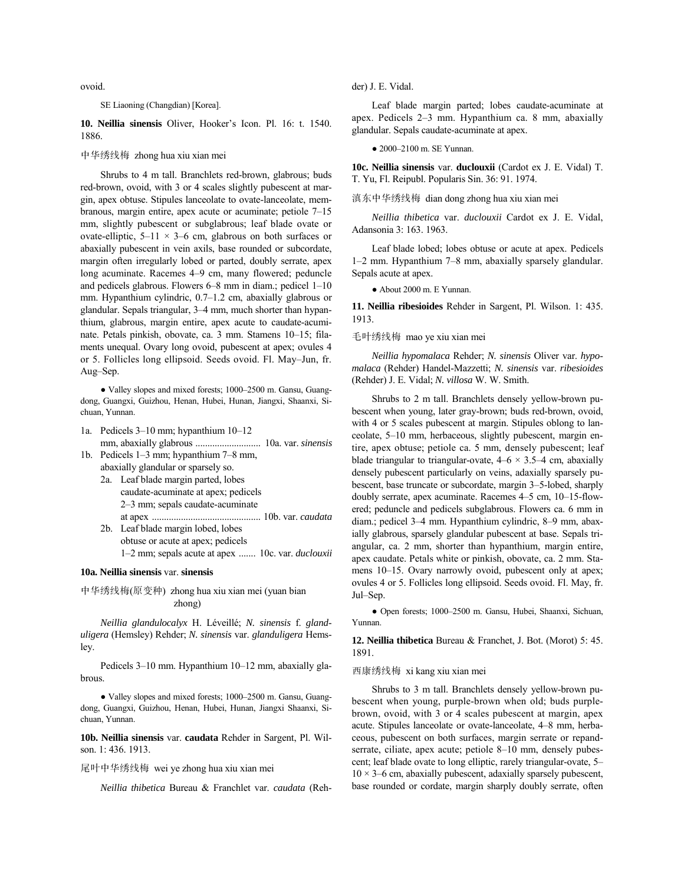ovoid.

### SE Liaoning (Changdian) [Korea].

10. Neillia sinensis Oliver, Hooker's Icon. Pl. 16: t. 1540. 1886.

### 中华绣线梅 zhong hua xiu xian mei

Shrubs to 4 m tall. Branchlets red-brown, glabrous; buds red-brown, ovoid, with 3 or 4 scales slightly pubescent at margin, apex obtuse. Stipules lanceolate to ovate-lanceolate, membranous, margin entire, apex acute or acuminate; petiole  $7-15$ mm, slightly pubescent or subglabrous; leaf blade ovate or ovate-elliptic,  $5-11 \times 3-6$  cm, glabrous on both surfaces or abaxially pubescent in vein axils, base rounded or subcordate, margin often irregularly lobed or parted, doubly serrate, apex long acuminate. Racemes 4-9 cm, many flowered; peduncle and pedicels glabrous. Flowers  $6-8$  mm in diam.; pedicel  $1-10$ mm. Hypanthium cylindric,  $0.7-1.2$  cm, abaxially glabrous or glandular. Sepals triangular, 3–4 mm, much shorter than hypanthium, glabrous, margin entire, apex acute to caudate-acuminate. Petals pinkish, obovate, ca. 3 mm. Stamens 10-15; filaments unequal. Ovary long ovoid, pubescent at apex; ovules 4 or 5. Follicles long ellipsoid. Seeds ovoid. Fl. May-Jun, fr. Aug-Sep.

• Valley slopes and mixed forests; 1000-2500 m. Gansu, Guangdong, Guangxi, Guizhou, Henan, Hubei, Hunan, Jiangxi, Shaanxi, Sichuan, Yunnan.

- 1a. Pedicels 3-10 mm; hypanthium 10-12 mm, abaxially glabrous ........................... 10a. var. *sinensis*
- 1b. Pedicels 1-3 mm; hypanthium 7-8 mm, abaxially glandular or sparsely so.
	- 2a. Leaf blade margin parted, lobes caudate-acuminate at apex; pedicels 2–3 mm; sepals caudate-acuminate at apex ............................................. 10b. var. *caudata* 2b. Leaf blade margin lobed, lobes
		- obtuse or acute at apex; pedicels 1–2 mm; sepals acute at apex ....... 10c. var. *duclouxii*

### **10a. Neillia sinensis** var. **sinensis**

中华绣线梅(原变种) zhong hua xiu xian mei (yuan bian zhong)

*Neillia glandulocalyx* H. LÈveillÈ; *N. sinensis* f. *glanduligera* (Hemsley) Rehder; *N. sinensis* var. *glanduligera* Hemsley.

Pedicels 3–10 mm. Hypanthium 10–12 mm, abaxially glabrous.

• Valley slopes and mixed forests; 1000–2500 m. Gansu, Guangdong, Guangxi, Guizhou, Henan, Hubei, Hunan, Jiangxi Shaanxi, Sichuan, Yunnan.

**10b. Neillia sinensis** var. **caudata** Rehder in Sargent, Pl. Wilson. 1: 436. 1913.

尾叶中华绣线梅 wei ye zhong hua xiu xian mei

*Neillia thibetica* Bureau & Franchlet var. *caudata* (Reh-

der) J. E. Vidal.

Leaf blade margin parted; lobes caudate-acuminate at apex. Pedicels  $2-3$  mm. Hypanthium ca. 8 mm, abaxially glandular. Sepals caudate-acuminate at apex.

 $\bullet$  2000-2100 m. SE Yunnan.

**10c. Neillia sinensis** var. **duclouxii** (Cardot ex J. E. Vidal) T. T. Yu, Fl. Reipubl. Popularis Sin. 36: 91. 1974.

滇东中华绣线梅 dian dong zhong hua xiu xian mei

*Neillia thibetica* var. *duclouxii* Cardot ex J. E. Vidal, Adansonia 3: 163. 1963.

Leaf blade lobed; lobes obtuse or acute at apex. Pedicels 1–2 mm. Hypanthium 7–8 mm, abaxially sparsely glandular. Sepals acute at apex.

● About 2000 m. E Yunnan.

**11. Neillia ribesioides** Rehder in Sargent, Pl. Wilson. 1: 435. 1913.

### 毛叶绣线梅 mao ye xiu xian mei

*Neillia hypomalaca* Rehder; *N. sinensis* Oliver var. *hypomalaca* (Rehder) Handel-Mazzetti; *N. sinensis* var. *ribesioides* (Rehder) J. E. Vidal; *N. villosa* W. W. Smith.

Shrubs to 2 m tall. Branchlets densely yellow-brown pubescent when young, later gray-brown; buds red-brown, ovoid, with 4 or 5 scales pubescent at margin. Stipules oblong to lanceolate, 5–10 mm, herbaceous, slightly pubescent, margin entire, apex obtuse; petiole ca. 5 mm, densely pubescent; leaf blade triangular to triangular-ovate,  $4-6 \times 3.5-4$  cm, abaxially densely pubescent particularly on veins, adaxially sparsely pubescent, base truncate or subcordate, margin 3-5-lobed, sharply doubly serrate, apex acuminate. Racemes 4-5 cm, 10-15-flowered; peduncle and pedicels subglabrous. Flowers ca. 6 mm in diam.; pedicel 3–4 mm. Hypanthium cylindric, 8–9 mm, abaxially glabrous, sparsely glandular pubescent at base. Sepals triangular, ca. 2 mm, shorter than hypanthium, margin entire, apex caudate. Petals white or pinkish, obovate, ca. 2 mm. Stamens 10-15. Ovary narrowly ovoid, pubescent only at apex; ovules 4 or 5. Follicles long ellipsoid. Seeds ovoid. Fl. May, fr. Jul-Sep.

● Open forests; 1000-2500 m. Gansu, Hubei, Shaanxi, Sichuan, Yunnan.

**12. Neillia thibetica** Bureau & Franchet, J. Bot. (Morot) 5: 45. 1891.

### 西康绣线梅 xi kang xiu xian mei

Shrubs to 3 m tall. Branchlets densely yellow-brown pubescent when young, purple-brown when old; buds purplebrown, ovoid, with 3 or 4 scales pubescent at margin, apex acute. Stipules lanceolate or ovate-lanceolate, 4-8 mm, herbaceous, pubescent on both surfaces, margin serrate or repandserrate, ciliate, apex acute; petiole 8-10 mm, densely pubescent; leaf blade ovate to long elliptic, rarely triangular-ovate, 5- $10 \times 3$ –6 cm, abaxially pubescent, adaxially sparsely pubescent, base rounded or cordate, margin sharply doubly serrate, often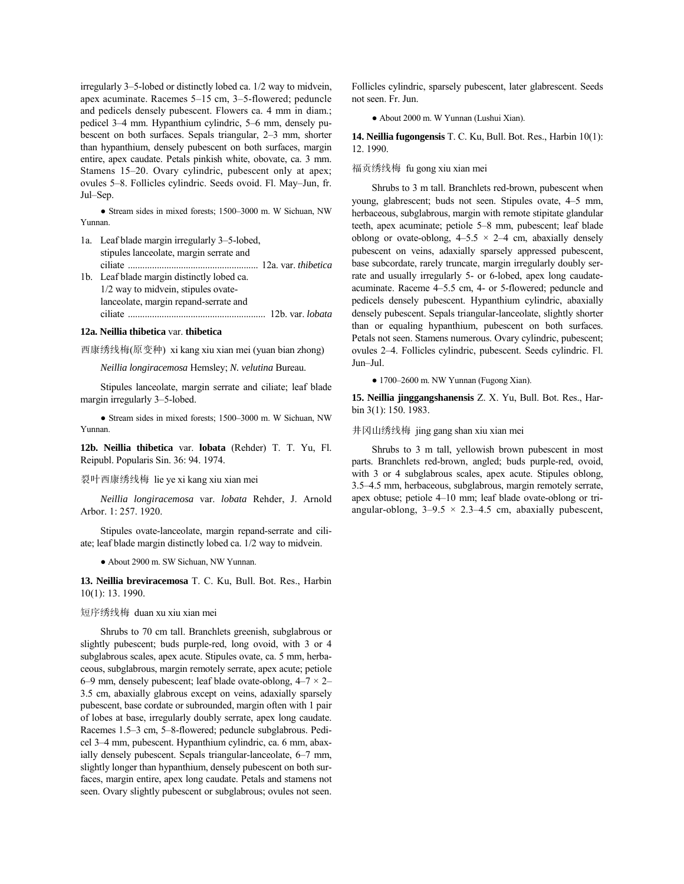irregularly 3-5-lobed or distinctly lobed ca. 1/2 way to midvein, apex acuminate. Racemes 5-15 cm, 3-5-flowered; peduncle and pedicels densely pubescent. Flowers ca. 4 mm in diam.; pedicel 3-4 mm. Hypanthium cylindric, 5-6 mm, densely pubescent on both surfaces. Sepals triangular, 2-3 mm, shorter than hypanthium, densely pubescent on both surfaces, margin entire, apex caudate. Petals pinkish white, obovate, ca. 3 mm. Stamens 15-20. Ovary cylindric, pubescent only at apex; ovules 5-8. Follicles cylindric. Seeds ovoid. Fl. May-Jun, fr. Jul-Sep.

• Stream sides in mixed forests; 1500-3000 m. W Sichuan, NW Yunnan.

- 1a. Leaf blade margin irregularly 3-5-lobed, stipules lanceolate, margin serrate and ciliate ...................................................... 12a. var. *thibetica* 1b. Leaf blade margin distinctly lobed ca. 1/2 way to midvein, stipules ovate-
- lanceolate, margin repand-serrate and ciliate ......................................................... 12b. var. *lobata*

# **12a. Neillia thibetica** var. **thibetica**

西康绣线梅(原变种) xi kang xiu xian mei (yuan bian zhong)

*Neillia longiracemosa* Hemsley; *N. velutina* Bureau.

Stipules lanceolate, margin serrate and ciliate; leaf blade margin irregularly 3-5-lobed.

• Stream sides in mixed forests; 1500-3000 m. W Sichuan, NW Yunnan.

**12b. Neillia thibetica** var. **lobata** (Rehder) T. T. Yu, Fl. Reipubl. Popularis Sin. 36: 94. 1974.

## 裂叶西康绣线梅 lie ye xi kang xiu xian mei

*Neillia longiracemosa* var. *lobata* Rehder, J. Arnold Arbor. 1: 257. 1920.

Stipules ovate-lanceolate, margin repand-serrate and ciliate; leaf blade margin distinctly lobed ca. 1/2 way to midvein.

● About 2900 m. SW Sichuan, NW Yunnan.

**13. Neillia breviracemosa** T. C. Ku, Bull. Bot. Res., Harbin 10(1): 13. 1990.

### 短序绣线梅 duan xu xiu xian mei

Shrubs to 70 cm tall. Branchlets greenish, subglabrous or slightly pubescent; buds purple-red, long ovoid, with 3 or 4 subglabrous scales, apex acute. Stipules ovate, ca. 5 mm, herbaceous, subglabrous, margin remotely serrate, apex acute; petiole 6–9 mm, densely pubescent; leaf blade ovate-oblong,  $4-7 \times 2$ – 3.5 cm, abaxially glabrous except on veins, adaxially sparsely pubescent, base cordate or subrounded, margin often with 1 pair of lobes at base, irregularly doubly serrate, apex long caudate. Racemes 1.5–3 cm, 5–8-flowered; peduncle subglabrous. Pedicel 3–4 mm, pubescent. Hypanthium cylindric, ca. 6 mm, abaxially densely pubescent. Sepals triangular-lanceolate,  $6-7$  mm, slightly longer than hypanthium, densely pubescent on both surfaces, margin entire, apex long caudate. Petals and stamens not seen. Ovary slightly pubescent or subglabrous; ovules not seen.

Follicles cylindric, sparsely pubescent, later glabrescent. Seeds not seen. Fr. Jun.

● About 2000 m. W Yunnan (Lushui Xian).

**14. Neillia fugongensis** T. C. Ku, Bull. Bot. Res., Harbin 10(1): 12. 1990.

### 福贡绣线梅 fu gong xiu xian mei

Shrubs to 3 m tall. Branchlets red-brown, pubescent when young, glabrescent; buds not seen. Stipules ovate, 4–5 mm, herbaceous, subglabrous, margin with remote stipitate glandular teeth, apex acuminate; petiole 5-8 mm, pubescent; leaf blade oblong or ovate-oblong,  $4-5.5 \times 2-4$  cm, abaxially densely pubescent on veins, adaxially sparsely appressed pubescent, base subcordate, rarely truncate, margin irregularly doubly serrate and usually irregularly 5- or 6-lobed, apex long caudateacuminate. Raceme 4–5.5 cm, 4- or 5-flowered; peduncle and pedicels densely pubescent. Hypanthium cylindric, abaxially densely pubescent. Sepals triangular-lanceolate, slightly shorter than or equaling hypanthium, pubescent on both surfaces. Petals not seen. Stamens numerous. Ovary cylindric, pubescent; ovules 2–4. Follicles cylindric, pubescent. Seeds cylindric. Fl. Jun-Jul.

 $\bullet$  1700-2600 m. NW Yunnan (Fugong Xian).

**15. Neillia jinggangshanensis** Z. X. Yu, Bull. Bot. Res., Harbin 3(1): 150. 1983.

### 井冈山绣线梅 jing gang shan xiu xian mei

Shrubs to 3 m tall, yellowish brown pubescent in most parts. Branchlets red-brown, angled; buds purple-red, ovoid, with 3 or 4 subglabrous scales, apex acute. Stipules oblong, 3.5-4.5 mm, herbaceous, subglabrous, margin remotely serrate, apex obtuse; petiole 4–10 mm; leaf blade ovate-oblong or triangular-oblong,  $3-9.5 \times 2.3-4.5$  cm, abaxially pubescent,